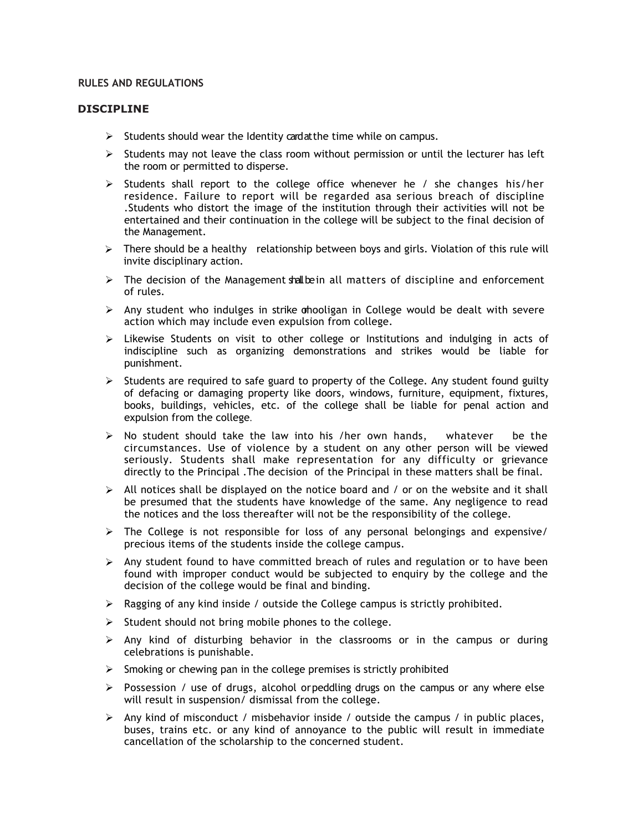#### **RULES AND REGULATIONS**

#### **DISCIPLINE**

- $\triangleright$  Students should wear the Identity cardatthe time while on campus.
- $\triangleright$  Students may not leave the class room without permission or until the lecturer has left the room or permitted to disperse.
- $\triangleright$  Students shall report to the college office whenever he / she changes his/her residence. Failure to report will be regarded asa serious breach of discipline .Students who distort the image of the institution through their activities will not be entertained and their continuation in the college will be subject to the final decision of the Management.
- $\triangleright$  There should be a healthy relationship between boys and girls. Violation of this rule will invite disciplinary action.
- $\triangleright$  The decision of the Management shall bein all matters of discipline and enforcement of rules.
- $\triangleright$  Any student who indulges in strike ohooligan in College would be dealt with severe action which may include even expulsion from college.
- $\triangleright$  Likewise Students on visit to other college or Institutions and indulging in acts of indiscipline such as organizing demonstrations and strikes would be liable for punishment.
- $\triangleright$  Students are required to safe guard to property of the College. Any student found guilty of defacing or damaging property like doors, windows, furniture, equipment, fixtures, books, buildings, vehicles, etc. of the college shall be liable for penal action and expulsion from the college.
- $\triangleright$  No student should take the law into his /her own hands, whatever be the circumstances. Use of violence by a student on any other person will be viewed seriously. Students shall make representation for any difficulty or grievance directly to the Principal .The decision of the Principal in these matters shall be final.
- $\triangleright$  All notices shall be displayed on the notice board and / or on the website and it shall be presumed that the students have knowledge of the same. Any negligence to read the notices and the loss thereafter will not be the responsibility of the college.
- $\triangleright$  The College is not responsible for loss of any personal belongings and expensive/ precious items of the students inside the college campus.
- $\triangleright$  Any student found to have committed breach of rules and regulation or to have been found with improper conduct would be subjected to enquiry by the college and the decision of the college would be final and binding.
- $\triangleright$  Ragging of any kind inside / outside the College campus is strictly prohibited.
- $\triangleright$  Student should not bring mobile phones to the college.
- $\triangleright$  Any kind of disturbing behavior in the classrooms or in the campus or during celebrations is punishable.
- $\triangleright$  Smoking or chewing pan in the college premises is strictly prohibited
- $\triangleright$  Possession / use of drugs, alcohol orpeddling drugs on the campus or any where else will result in suspension/ dismissal from the college.
- $\triangleright$  Any kind of misconduct / misbehavior inside / outside the campus / in public places, buses, trains etc. or any kind of annoyance to the public will result in immediate cancellation of the scholarship to the concerned student.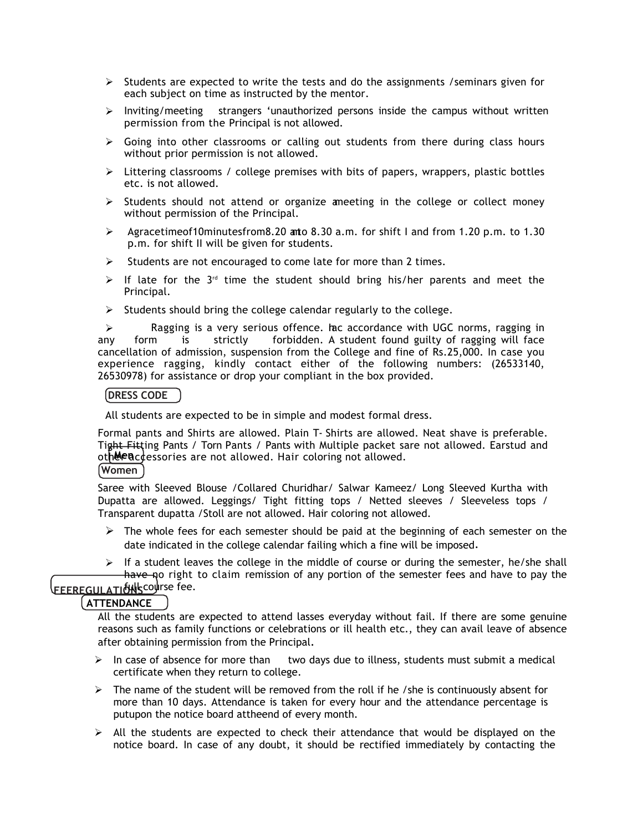- $\triangleright$  Students are expected to write the tests and do the assignments /seminars given for each subject on time as instructed by the mentor.
- $\triangleright$  Inviting/meeting strangers 'unauthorized persons inside the campus without written permission from the Principal is not allowed.
- $\triangleright$  Going into other classrooms or calling out students from there during class hours without prior permission is not allowed.
- $\triangleright$  Littering classrooms / college premises with bits of papers, wrappers, plastic bottles etc. is not allowed.
- $\triangleright$  Students should not attend or organize ameeting in the college or collect money without permission of the Principal.
- Agracetimeof10minutesfrom8.20 anto 8.30 a.m. for shift I and from 1.20 p.m. to 1.30 p.m. for shift II will be given for students.
- $\triangleright$  Students are not encouraged to come late for more than 2 times.
- $\triangleright$  If late for the 3<sup>rd</sup> time the student should bring his/her parents and meet the Principal.
- $\triangleright$  Students should bring the college calendar regularly to the college.

 $\triangleright$  Ragging is a very serious offence. Inc accordance with UGC norms, ragging in any form is strictly forbidden. A student found guilty of ragging will face cancellation of admission, suspension from the College and fine of Rs.25,000. In case you experience ragging, kindly contact either of the following numbers: (26533140, 26530978) for assistance or drop your compliant in the box provided.

#### **DRESS CODE**

All students are expected to be in simple and modest formal dress.

oth**&en**ccessories are not allowed. Hair coloring not allowed. Formal pants and Shirts are allowed. Plain T- Shirts are allowed. Neat shave is preferable. Tight Fitting Pants / Torn Pants / Pants with Multiple packet sare not allowed. Earstud and **Women**

Saree with Sleeved Blouse /Collared Churidhar/ Salwar Kameez/ Long Sleeved Kurtha with Dupatta are allowed. Leggings/ Tight fitting tops / Netted sleeves / Sleeveless tops / Transparent dupatta /Stoll are not allowed. Hair coloring not allowed.

- $\triangleright$  The whole fees for each semester should be paid at the beginning of each semester on the date indicated in the college calendar failing which a fine will be imposed.
- $\triangleright$  If a student leaves the college in the middle of course or during the semester, he/she shall have no right to claim remission of any portion of the semester fees and have to pay the

# **FEEREGULATIÓNSCOURSE fee.**

## **ATTENDANCE**

All the students are expected to attend lasses everyday without fail. If there are some genuine reasons such as family functions or celebrations or ill health etc., they can avail leave of absence after obtaining permission from the Principal.

- $\triangleright$  In case of absence for more than two days due to illness, students must submit a medical certificate when they return to college.
- $\triangleright$  The name of the student will be removed from the roll if he /she is continuously absent for more than 10 days. Attendance is taken for every hour and the attendance percentage is putupon the notice board attheend of every month.
- $\triangleright$  All the students are expected to check their attendance that would be displayed on the notice board. In case of any doubt, it should be rectified immediately by contacting the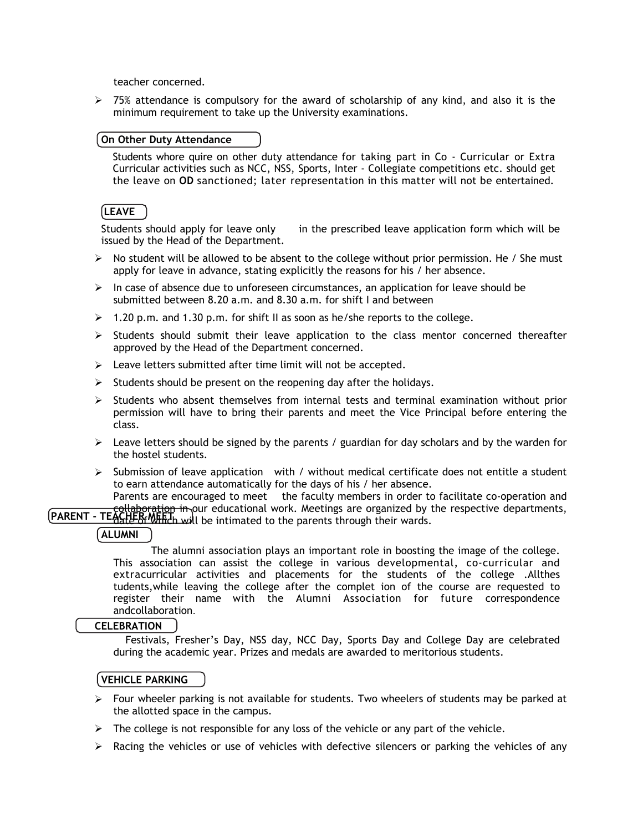teacher concerned.

 $>$  75% attendance is compulsory for the award of scholarship of any kind, and also it is the minimum requirement to take up the University examinations.

## **On Other Duty Attendance**

Students whore quire on other duty attendance for taking part in Co - Curricular or Extra Curricular activities such as NCC, NSS, Sports, Inter - Collegiate competitions etc. should get the leave on **OD** sanctioned; later representation in this matter will not be entertained.

## **LEAVE**

Students should apply for leave only in the prescribed leave application form which will be issued by the Head of the Department.

- $\triangleright$  No student will be allowed to be absent to the college without prior permission. He / She must apply for leave in advance, stating explicitly the reasons for his / her absence.
- $\triangleright$  In case of absence due to unforeseen circumstances, an application for leave should be submitted between 8.20 a.m. and 8.30 a.m. for shift I and between
- $\geq 1.20$  p.m. and 1.30 p.m. for shift II as soon as he/she reports to the college.
- $\triangleright$  Students should submit their leave application to the class mentor concerned thereafter approved by the Head of the Department concerned.
- $\triangleright$  Leave letters submitted after time limit will not be accepted.
- $\triangleright$  Students should be present on the reopening day after the holidays.
- $\triangleright$  Students who absent themselves from internal tests and terminal examination without prior permission will have to bring their parents and meet the Vice Principal before entering the class.
- $\triangleright$  Leave letters should be signed by the parents / guardian for day scholars and by the warden for the hostel students.
- $\triangleright$  Submission of leave application with / without medical certificate does not entitle a student to earn attendance automatically for the days of his / her absence.

**PARENT - TEACHER MEET** in our educational work. Meetings are organized by the respective departments,<br>PARENT - TEACHER MEET, will be intimated to the parents through their wards Parents are encouraged to meet the faculty members in order to facilitate co-operation and

date of Which will be intimated to the parents through their wards.

## **ALUMNI**

The alumni association plays an important role in boosting the image of the college. This association can assist the college in various developmental, co-curricular and extracurricular activities and placements for the students of the college .Allthes tudents,while leaving the college after the complet ion of the course are requested to register their name with the Alumni Association for future correspondence andcollaboration.

### **CELEBRATION**

Festivals, Fresher's Day, NSS day, NCC Day, Sports Day and College Day are celebrated during the academic year. Prizes and medals are awarded to meritorious students.

## **VEHICLE PARKING**

- $\triangleright$  Four wheeler parking is not available for students. Two wheelers of students may be parked at the allotted space in the campus.
- $\triangleright$  The college is not responsible for any loss of the vehicle or any part of the vehicle.
- $\triangleright$  Racing the vehicles or use of vehicles with defective silencers or parking the vehicles of any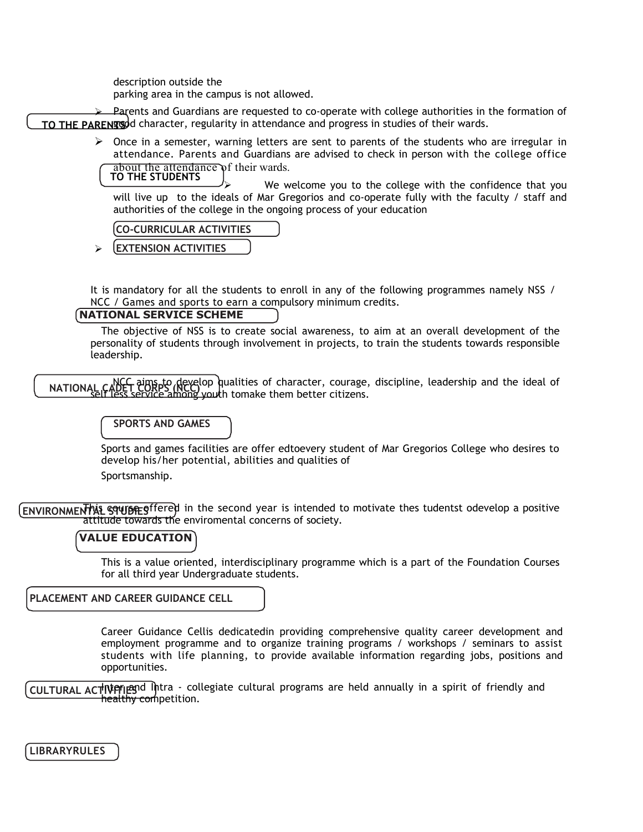description outside the

parking area in the campus is not allowed.

**TO THE PARENTS** good character, regularity in attendance and progress in studies of their wards. Parents and Guardians are requested to co-operate with college authorities in the formation of

> $\triangleright$  Once in a semester, warning letters are sent to parents of the students who are irregular in attendance. Parents and Guardians are advised to check in person with the college office about the attendance of their wards.

 We welcome you to the college with the confidence that you will live up to the ideals of Mar Gregorios and co-operate fully with the faculty / staff and authorities of the college in the ongoing process of your education **TO THE STUDENTS**

**CO-CURRICULAR ACTIVITIES**

**EXTENSION ACTIVITIES**

It is mandatory for all the students to enroll in any of the following programmes namely NSS / NCC / Games and sports to earn a compulsory minimum credits.

## **NATIONAL SERVICE SCHEME**

The objective of NSS is to create social awareness, to aim at an overall development of the personality of students through involvement in projects, to train the students towards responsible leadership.

**NATIONAL CADET cups to develop qualities of character, courage, discipline, leadership and the ideal of NATIONAL CADET cups of the ideal of** self less service among youth tomake them better citizens.

#### **SPORTS AND GAMES**

Sports and games facilities are offer edtoevery student of Mar Gregorios College who desires to develop his/her potential, abilities and qualities of

Sportsmanship.

**ENVIRONMENTAL SQUISE S**ffered in the second year is intended to motivate thes tudentst odevelop a positive attitude towards the enviromental concerns of society.

#### **VALUE EDUCATION**

This is a value oriented, interdisciplinary programme which is a part of the Foundation Courses for all third year Undergraduate students.

**PLACEMENT AND CAREER GUIDANCE CELL**

Career Guidance Cellis dedicatedin providing comprehensive quality career development and employment programme and to organize training programs / workshops / seminars to assist students with life planning, to provide available information regarding jobs, positions and opportunities.

**CULTURAL ACTIVE ILES** of lintra - collegiate cultural programs are held annually in a spirit of friendly and healthy competition.

**LIBRARYRULES**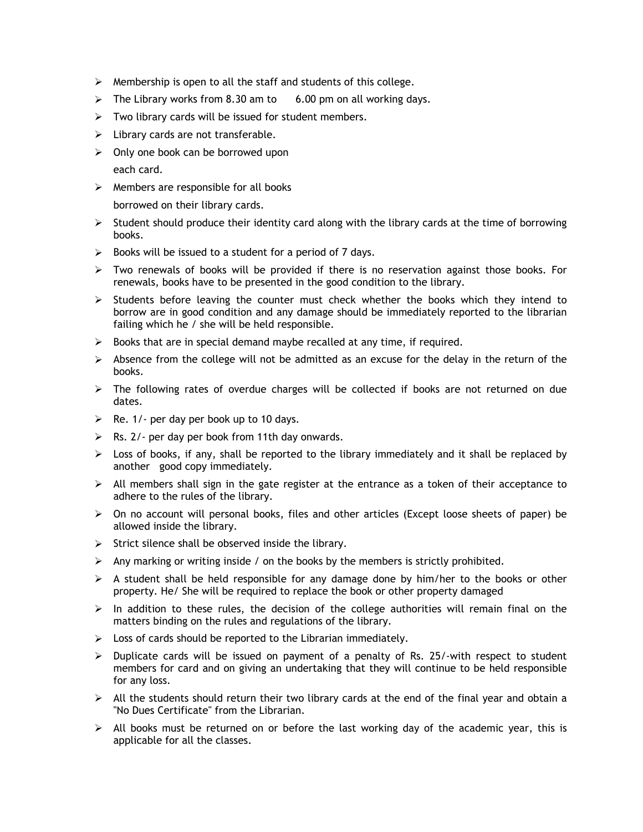- $\triangleright$  Membership is open to all the staff and students of this college.
- $\triangleright$  The Library works from 8.30 am to 6.00 pm on all working days.
- $\triangleright$  Two library cards will be issued for student members.
- $\triangleright$  Library cards are not transferable.
- $\triangleright$  Only one book can be borrowed upon each card.
- $\triangleright$  Members are responsible for all books borrowed on their library cards.
- $\triangleright$  Student should produce their identity card along with the library cards at the time of borrowing books.
- $\triangleright$  Books will be issued to a student for a period of 7 days.
- $\triangleright$  Two renewals of books will be provided if there is no reservation against those books. For renewals, books have to be presented in the good condition to the library.
- $\triangleright$  Students before leaving the counter must check whether the books which they intend to borrow are in good condition and any damage should be immediately reported to the librarian failing which he / she will be held responsible.
- $\triangleright$  Books that are in special demand maybe recalled at any time, if required.
- $\triangleright$  Absence from the college will not be admitted as an excuse for the delay in the return of the books.
- $\triangleright$  The following rates of overdue charges will be collected if books are not returned on due dates.
- $\triangleright$  Re. 1/- per day per book up to 10 days.
- $\triangleright$  Rs. 2/- per day per book from 11th day onwards.
- $\triangleright$  Loss of books, if any, shall be reported to the library immediately and it shall be replaced by another good copy immediately.
- $\triangleright$  All members shall sign in the gate register at the entrance as a token of their acceptance to adhere to the rules of the library.
- $\triangleright$  On no account will personal books, files and other articles (Except loose sheets of paper) be allowed inside the library.
- $\triangleright$  Strict silence shall be observed inside the library.
- $\triangleright$  Any marking or writing inside / on the books by the members is strictly prohibited.
- $\triangleright$  A student shall be held responsible for any damage done by him/her to the books or other property. He/ She will be required to replace the book or other property damaged
- $\triangleright$  In addition to these rules, the decision of the college authorities will remain final on the matters binding on the rules and regulations of the library.
- $\triangleright$  Loss of cards should be reported to the Librarian immediately.
- $\triangleright$  Duplicate cards will be issued on payment of a penalty of Rs. 25/-with respect to student members for card and on giving an undertaking that they will continue to be held responsible for any loss.
- $\triangleright$  All the students should return their two library cards at the end of the final year and obtain a "No Dues Certificate" from the Librarian.
- $\triangleright$  All books must be returned on or before the last working day of the academic year, this is applicable for all the classes.